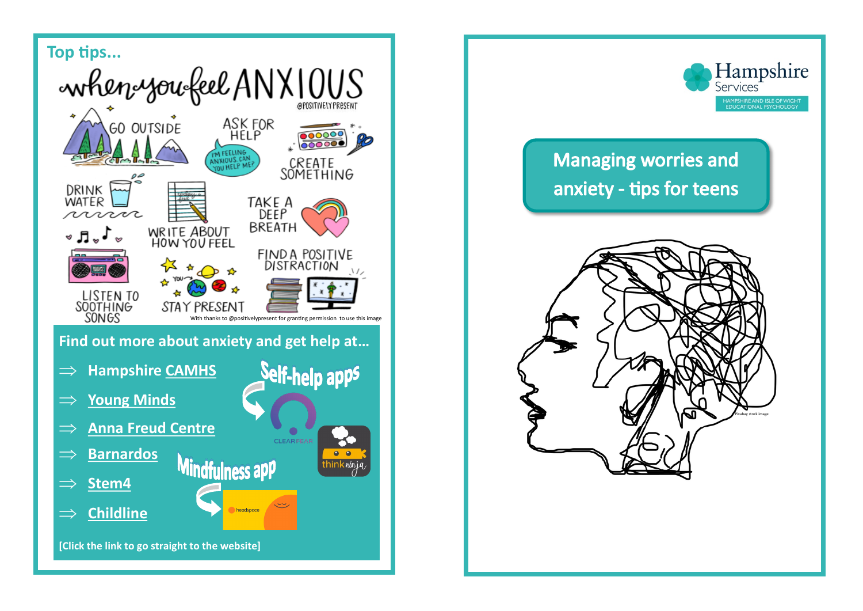